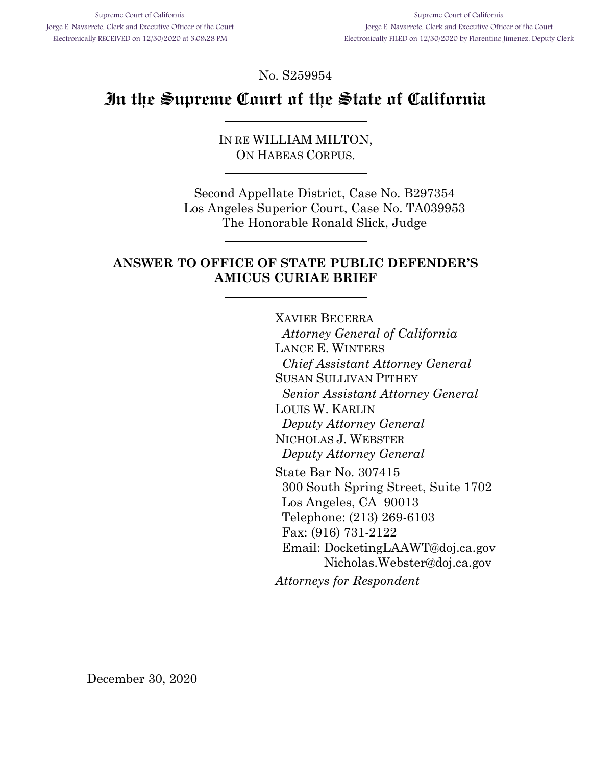No. S259954

# **In the Supreme Court of the State of California**

IN RE WILLIAM MILTON, ON HABEAS CORPUS.

Second Appellate District, Case No. B297354 Los Angeles Superior Court, Case No. TA039953 The Honorable Ronald Slick, Judge

## **ANSWER TO OFFICE OF STATE PUBLIC DEFENDER'S AMICUS CURIAE BRIEF**

XAVIER BECERRA *Attorney General of California* LANCE E. WINTERS *Chief Assistant Attorney General*  SUSAN SULLIVAN PITHEY *Senior Assistant Attorney General*  LOUIS W. KARLIN *Deputy Attorney General*  NICHOLAS J. WEBSTER *Deputy Attorney General*  State Bar No. 307415 300 South Spring Street, Suite 1702 Los Angeles, CA 90013 Telephone: (213) 269-6103 Fax: (916) 731-2122 Email: DocketingLAAWT@doj.ca.gov Nicholas.Webster@doj.ca.gov *Attorneys for Respondent* 

December 30, 2020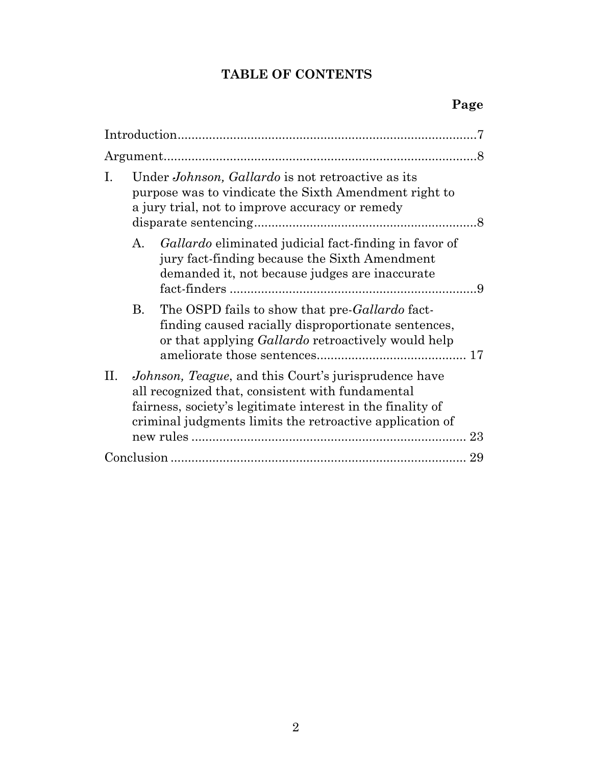# **TABLE OF CONTENTS**

| Ι. | Under <i>Johnson</i> , <i>Gallardo</i> is not retroactive as its<br>purpose was to vindicate the Sixth Amendment right to<br>a jury trial, not to improve accuracy or remedy                                                                    |                                                                                                                                                                    |  |  |  |
|----|-------------------------------------------------------------------------------------------------------------------------------------------------------------------------------------------------------------------------------------------------|--------------------------------------------------------------------------------------------------------------------------------------------------------------------|--|--|--|
|    | А.                                                                                                                                                                                                                                              | <i>Gallardo</i> eliminated judicial fact-finding in favor of<br>jury fact-finding because the Sixth Amendment<br>demanded it, not because judges are inaccurate    |  |  |  |
|    | <b>B.</b>                                                                                                                                                                                                                                       | The OSPD fails to show that pre-Gallardo fact-<br>finding caused racially disproportionate sentences,<br>or that applying <i>Gallardo</i> retroactively would help |  |  |  |
| H. | <i>Johnson, Teague, and this Court's jurisprudence have</i><br>all recognized that, consistent with fundamental<br>fairness, society's legitimate interest in the finality of<br>criminal judgments limits the retroactive application of<br>23 |                                                                                                                                                                    |  |  |  |
|    |                                                                                                                                                                                                                                                 |                                                                                                                                                                    |  |  |  |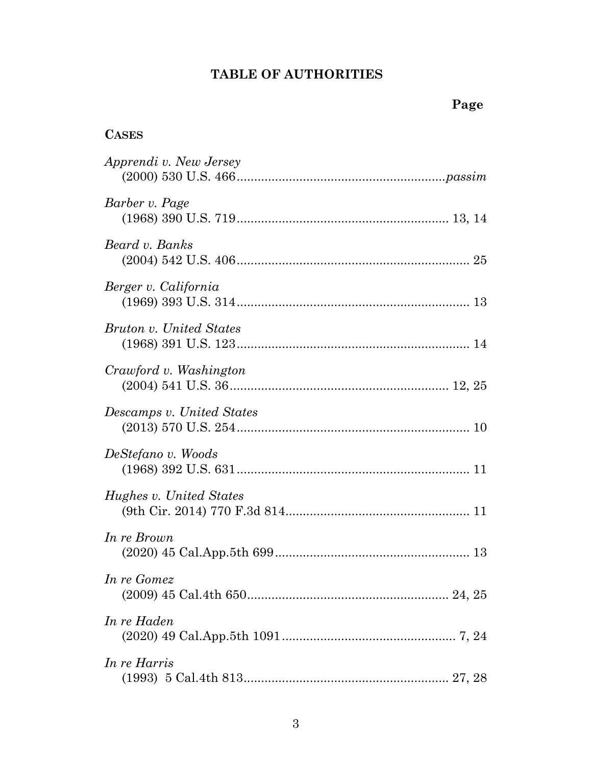# **TABLE OF AUTHORITIES**

# **CASES**

| Apprendi v. New Jersey    |
|---------------------------|
| Barber v. Page            |
| Beard v. Banks            |
| Berger v. California      |
| Bruton v. United States   |
| Crawford v. Washington    |
| Descamps v. United States |
| DeStefano v. Woods        |
| Hughes v. United States   |
| In re Brown               |
| In re Gomez               |
| In re Haden               |
| In re Harris              |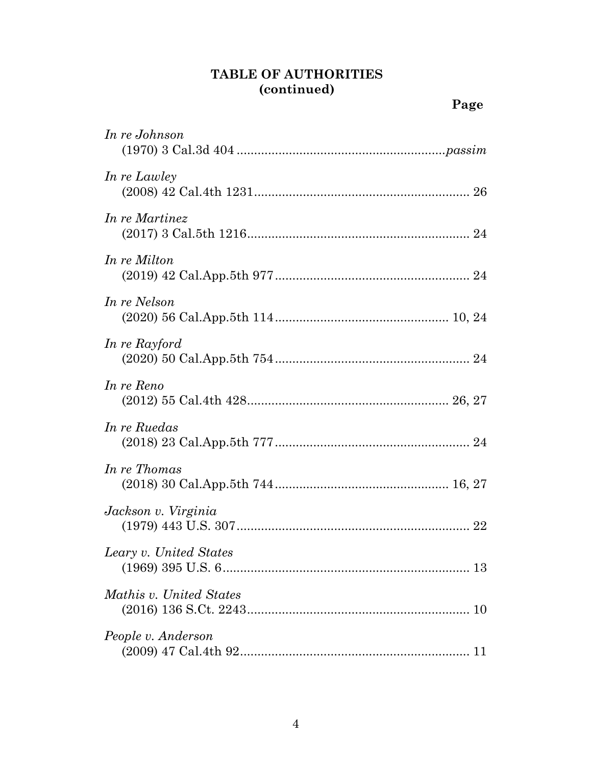# **TABLE OF AUTHORITIES (continued)**

| In re Johnson           |
|-------------------------|
| In re Lawley            |
| In re Martinez          |
| In re Milton            |
| In re Nelson            |
| In re Rayford           |
| In re Reno              |
| In re Ruedas            |
| In re Thomas            |
| Jackson v. Virginia     |
| Leary v. United States  |
| Mathis v. United States |
| People v. Anderson      |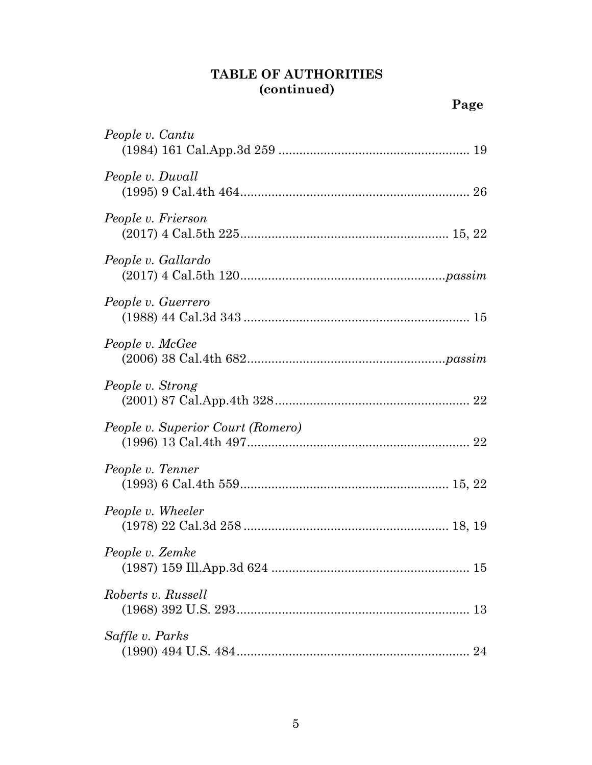## **TABLE OF AUTHORITIES (continued)**

| People v. Cantu                   |
|-----------------------------------|
| People v. Duvall                  |
| People v. Frierson                |
| People v. Gallardo                |
| People v. Guerrero                |
| People v. McGee                   |
| People v. Strong                  |
| People v. Superior Court (Romero) |
| People v. Tenner                  |
| People v. Wheeler                 |
| People v. Zemke                   |
| Roberts v. Russell                |
| Saffle v. Parks                   |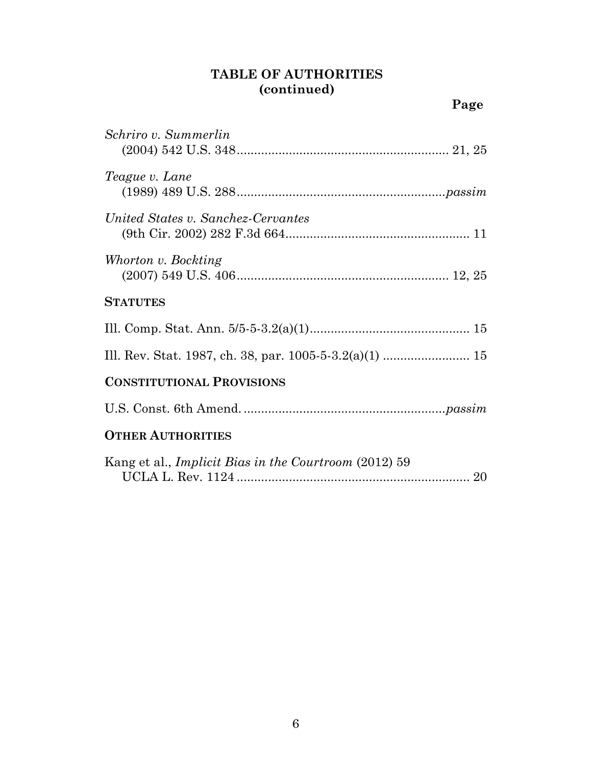## **TABLE OF AUTHORITIES (continued)**

| Schriro v. Summerlin                                         |
|--------------------------------------------------------------|
| Teague v. Lane                                               |
| United States v. Sanchez-Cervantes                           |
| Whorton v. Bockting                                          |
| <b>STATUTES</b>                                              |
|                                                              |
|                                                              |
| <b>CONSTITUTIONAL PROVISIONS</b>                             |
|                                                              |
| <b>OTHER AUTHORITIES</b>                                     |
| Kang et al., <i>Implicit Bias in the Courtroom</i> (2012) 59 |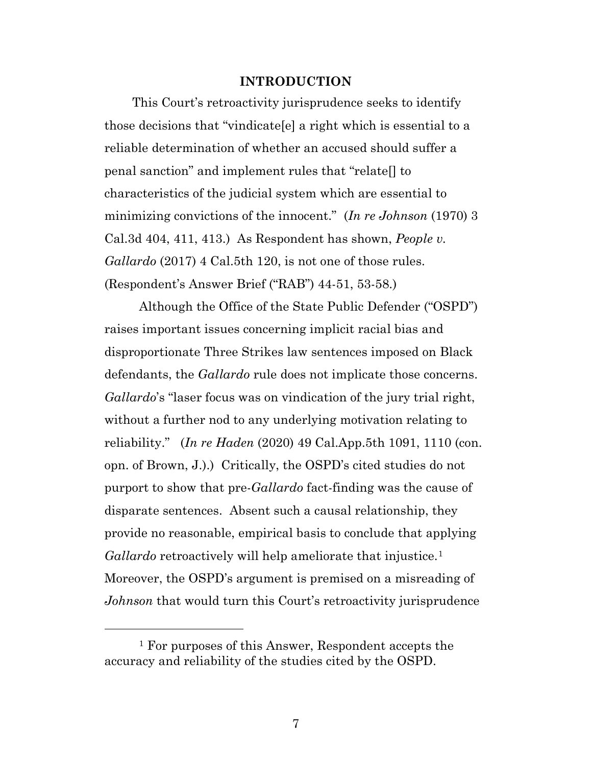#### **INTRODUCTION**

This Court's retroactivity jurisprudence seeks to identify those decisions that "vindicate[e] a right which is essential to a reliable determination of whether an accused should suffer a penal sanction" and implement rules that "relate[] to characteristics of the judicial system which are essential to minimizing convictions of the innocent." (*In re Johnson* (1970) 3 Cal.3d 404, 411, 413.) As Respondent has shown, *People v. Gallardo* (2017) 4 Cal.5th 120, is not one of those rules. (Respondent's Answer Brief ("RAB") 44-51, 53-58.)

Although the Office of the State Public Defender ("OSPD") raises important issues concerning implicit racial bias and disproportionate Three Strikes law sentences imposed on Black defendants, the *Gallardo* rule does not implicate those concerns. *Gallardo*'s "laser focus was on vindication of the jury trial right, without a further nod to any underlying motivation relating to reliability." (*In re Haden* (2020) 49 Cal.App.5th 1091, 1110 (con. opn. of Brown, J.).) Critically, the OSPD's cited studies do not purport to show that pre-*Gallardo* fact-finding was the cause of disparate sentences. Absent such a causal relationship, they provide no reasonable, empirical basis to conclude that applying *Gallardo* retroactively will help ameliorate that injustice.<sup>[1](#page-6-0)</sup> Moreover, the OSPD's argument is premised on a misreading of *Johnson* that would turn this Court's retroactivity jurisprudence

l

<span id="page-6-0"></span><sup>1</sup> For purposes of this Answer, Respondent accepts the accuracy and reliability of the studies cited by the OSPD.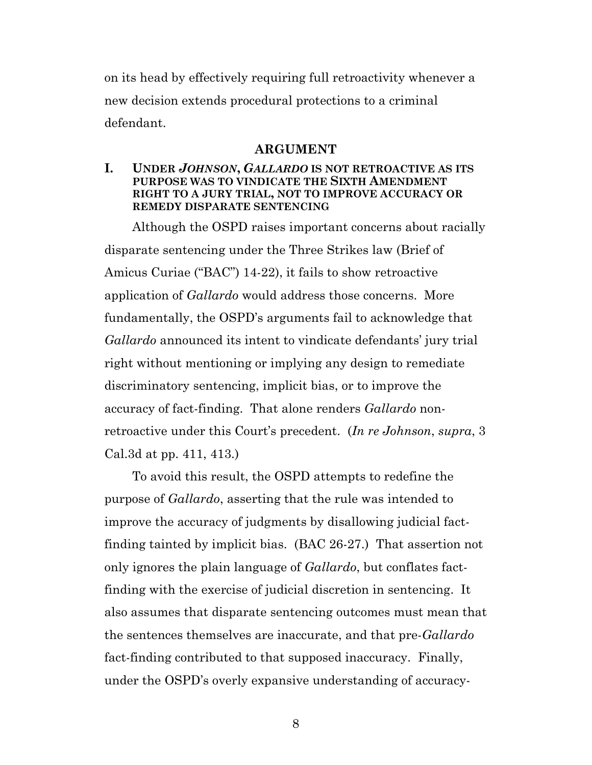on its head by effectively requiring full retroactivity whenever a new decision extends procedural protections to a criminal defendant.

#### **ARGUMENT**

#### **I. UNDER** *JOHNSON***,** *GALLARDO* **IS NOT RETROACTIVE AS ITS PURPOSE WAS TO VINDICATE THE SIXTH AMENDMENT RIGHT TO A JURY TRIAL, NOT TO IMPROVE ACCURACY OR REMEDY DISPARATE SENTENCING**

Although the OSPD raises important concerns about racially disparate sentencing under the Three Strikes law (Brief of Amicus Curiae ("BAC") 14-22), it fails to show retroactive application of *Gallardo* would address those concerns. More fundamentally, the OSPD's arguments fail to acknowledge that *Gallardo* announced its intent to vindicate defendants' jury trial right without mentioning or implying any design to remediate discriminatory sentencing, implicit bias, or to improve the accuracy of fact-finding. That alone renders *Gallardo* nonretroactive under this Court's precedent. (*In re Johnson*, *supra*, 3 Cal.3d at pp. 411, 413.)

To avoid this result, the OSPD attempts to redefine the purpose of *Gallardo*, asserting that the rule was intended to improve the accuracy of judgments by disallowing judicial factfinding tainted by implicit bias. (BAC 26-27.) That assertion not only ignores the plain language of *Gallardo*, but conflates factfinding with the exercise of judicial discretion in sentencing. It also assumes that disparate sentencing outcomes must mean that the sentences themselves are inaccurate, and that pre-*Gallardo* fact-finding contributed to that supposed inaccuracy. Finally, under the OSPD's overly expansive understanding of accuracy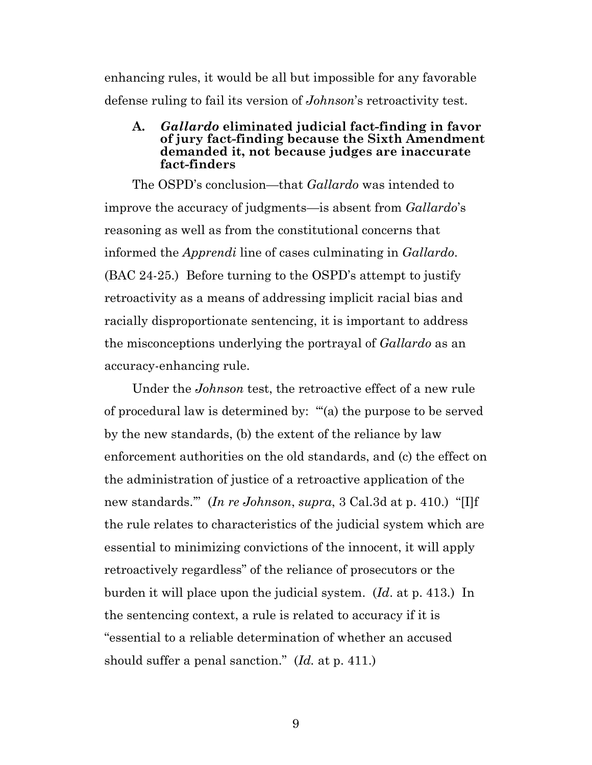enhancing rules, it would be all but impossible for any favorable defense ruling to fail its version of *Johnson*'s retroactivity test.

#### **A.** *Gallardo* **eliminated judicial fact-finding in favor of jury fact-finding because the Sixth Amendment demanded it, not because judges are inaccurate fact-finders**

The OSPD's conclusion—that *Gallardo* was intended to improve the accuracy of judgments—is absent from *Gallardo*'s reasoning as well as from the constitutional concerns that informed the *Apprendi* line of cases culminating in *Gallardo*. (BAC 24-25.) Before turning to the OSPD's attempt to justify retroactivity as a means of addressing implicit racial bias and racially disproportionate sentencing, it is important to address the misconceptions underlying the portrayal of *Gallardo* as an accuracy-enhancing rule.

Under the *Johnson* test, the retroactive effect of a new rule of procedural law is determined by: "'(a) the purpose to be served by the new standards, (b) the extent of the reliance by law enforcement authorities on the old standards, and (c) the effect on the administration of justice of a retroactive application of the new standards.'" (*In re Johnson*, *supra*, 3 Cal.3d at p. 410.) "[I]f the rule relates to characteristics of the judicial system which are essential to minimizing convictions of the innocent, it will apply retroactively regardless" of the reliance of prosecutors or the burden it will place upon the judicial system. (*Id*. at p. 413.) In the sentencing context, a rule is related to accuracy if it is "essential to a reliable determination of whether an accused should suffer a penal sanction." (*Id.* at p. 411.)

9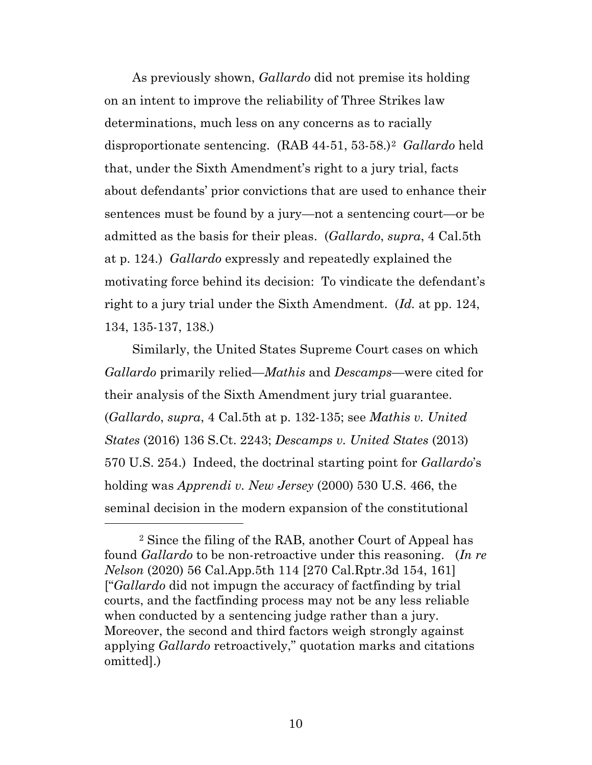As previously shown, *Gallardo* did not premise its holding on an intent to improve the reliability of Three Strikes law determinations, much less on any concerns as to racially disproportionate sentencing. (RAB 44-51, 53-58.)[2](#page-9-0) *Gallardo* held that, under the Sixth Amendment's right to a jury trial, facts about defendants' prior convictions that are used to enhance their sentences must be found by a jury—not a sentencing court—or be admitted as the basis for their pleas. (*Gallardo*, *supra*, 4 Cal.5th at p. 124.) *Gallardo* expressly and repeatedly explained the motivating force behind its decision: To vindicate the defendant's right to a jury trial under the Sixth Amendment. (*Id.* at pp. 124, 134, 135-137, 138.)

Similarly, the United States Supreme Court cases on which *Gallardo* primarily relied—*Mathis* and *Descamps*—were cited for their analysis of the Sixth Amendment jury trial guarantee. (*Gallardo*, *supra*, 4 Cal.5th at p. 132-135; see *Mathis v. United States* (2016) 136 S.Ct. 2243; *Descamps v. United States* (2013) 570 U.S. 254.) Indeed, the doctrinal starting point for *Gallardo*'s holding was *Apprendi v. New Jersey* (2000) 530 U.S. 466, the seminal decision in the modern expansion of the constitutional

<span id="page-9-0"></span><sup>2</sup> Since the filing of the RAB, another Court of Appeal has found *Gallardo* to be non-retroactive under this reasoning. (*In re Nelson* (2020) 56 Cal.App.5th 114 [270 Cal.Rptr.3d 154, 161] ["*Gallardo* did not impugn the accuracy of factfinding by trial courts, and the factfinding process may not be any less reliable when conducted by a sentencing judge rather than a jury. Moreover, the second and third factors weigh strongly against applying *Gallardo* retroactively," quotation marks and citations omitted].)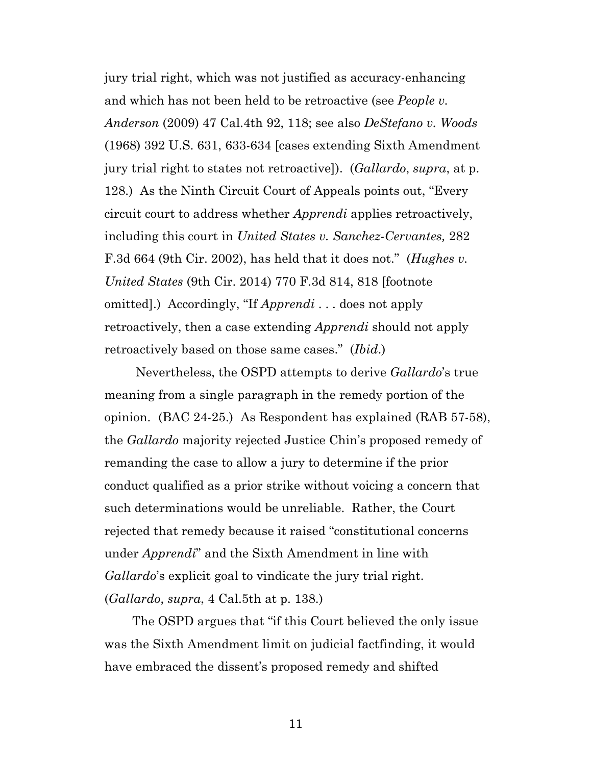jury trial right, which was not justified as accuracy-enhancing and which has not been held to be retroactive (see *People v. Anderson* (2009) 47 Cal.4th 92, 118; see also *DeStefano v. Woods* (1968) 392 U.S. 631, 633-634 [cases extending Sixth Amendment jury trial right to states not retroactive]). (*Gallardo*, *supra*, at p. 128.) As the Ninth Circuit Court of Appeals points out, "Every circuit court to address whether *Apprendi* applies retroactively, including this court in *United States v. Sanchez-Cervantes,* 282 F.3d 664 (9th Cir. 2002), has held that it does not." (*Hughes v. United States* (9th Cir. 2014) 770 F.3d 814, 818 [footnote omitted].) Accordingly, "If *Apprendi* . . . does not apply retroactively, then a case extending *Apprendi* should not apply retroactively based on those same cases." (*Ibid*.)

Nevertheless, the OSPD attempts to derive *Gallardo*'s true meaning from a single paragraph in the remedy portion of the opinion. (BAC 24-25.) As Respondent has explained (RAB 57-58), the *Gallardo* majority rejected Justice Chin's proposed remedy of remanding the case to allow a jury to determine if the prior conduct qualified as a prior strike without voicing a concern that such determinations would be unreliable. Rather, the Court rejected that remedy because it raised "constitutional concerns under *Apprendi*" and the Sixth Amendment in line with *Gallardo*'s explicit goal to vindicate the jury trial right. (*Gallardo*, *supra*, 4 Cal.5th at p. 138.)

The OSPD argues that "if this Court believed the only issue was the Sixth Amendment limit on judicial factfinding, it would have embraced the dissent's proposed remedy and shifted

11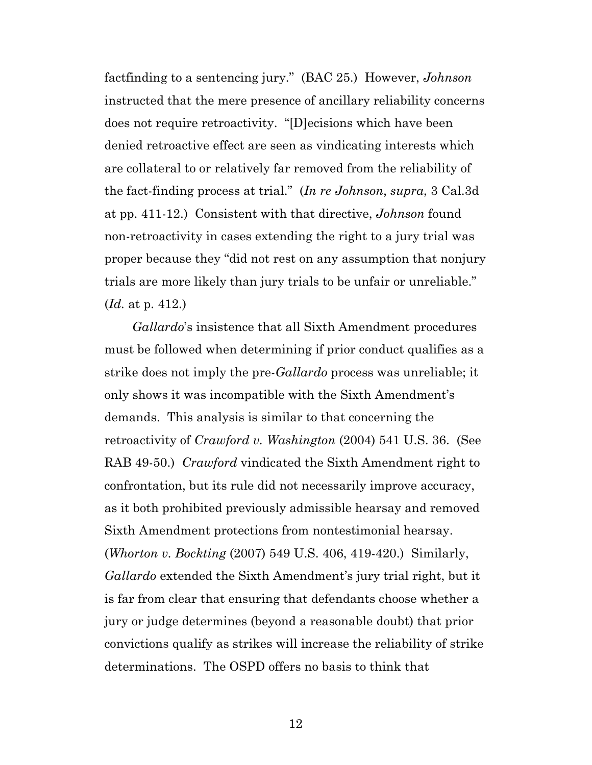factfinding to a sentencing jury." (BAC 25.) However, *Johnson* instructed that the mere presence of ancillary reliability concerns does not require retroactivity. "[D]ecisions which have been denied retroactive effect are seen as vindicating interests which are collateral to or relatively far removed from the reliability of the fact-finding process at trial." (*In re Johnson*, *supra*, 3 Cal.3d at pp. 411-12.) Consistent with that directive, *Johnson* found non-retroactivity in cases extending the right to a jury trial was proper because they "did not rest on any assumption that nonjury trials are more likely than jury trials to be unfair or unreliable." (*Id.* at p. 412.)

*Gallardo*'s insistence that all Sixth Amendment procedures must be followed when determining if prior conduct qualifies as a strike does not imply the pre-*Gallardo* process was unreliable; it only shows it was incompatible with the Sixth Amendment's demands. This analysis is similar to that concerning the retroactivity of *Crawford v. Washington* (2004) 541 U.S. 36. (See RAB 49-50.) *Crawford* vindicated the Sixth Amendment right to confrontation, but its rule did not necessarily improve accuracy, as it both prohibited previously admissible hearsay and removed Sixth Amendment protections from nontestimonial hearsay. (*Whorton v. Bockting* (2007) 549 U.S. 406, 419-420.) Similarly, *Gallardo* extended the Sixth Amendment's jury trial right, but it is far from clear that ensuring that defendants choose whether a jury or judge determines (beyond a reasonable doubt) that prior convictions qualify as strikes will increase the reliability of strike determinations. The OSPD offers no basis to think that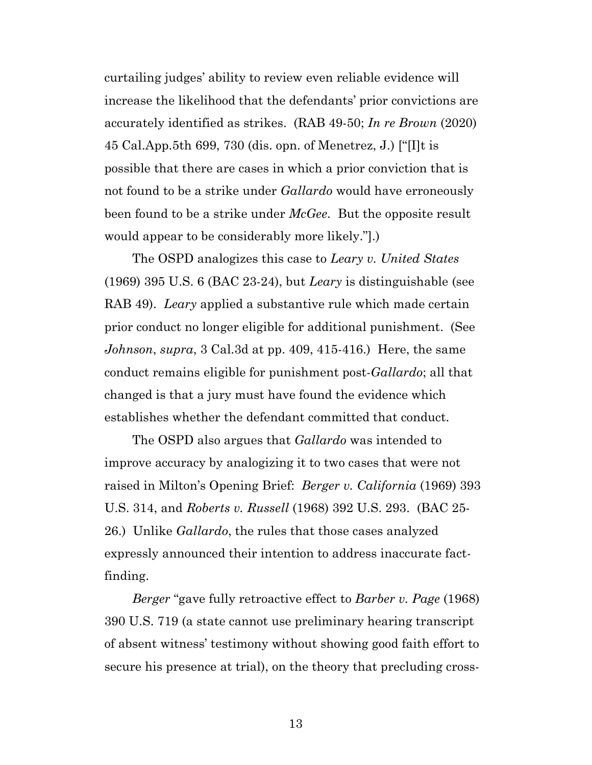curtailing judges' ability to review even reliable evidence will increase the likelihood that the defendants' prior convictions are accurately identified as strikes. (RAB 49-50; *In re Brown* (2020) 45 Cal.App.5th 699, 730 (dis. opn. of Menetrez, J.) ["[I]t is possible that there are cases in which a prior conviction that is not found to be a strike under *Gallardo* would have erroneously been found to be a strike under *McGee*. But the opposite result would appear to be considerably more likely."].)

The OSPD analogizes this case to *Leary v. United States* (1969) 395 U.S. 6 (BAC 23-24), but *Leary* is distinguishable (see RAB 49). *Leary* applied a substantive rule which made certain prior conduct no longer eligible for additional punishment. (See *Johnson*, *supra*, 3 Cal.3d at pp. 409, 415-416.) Here, the same conduct remains eligible for punishment post-*Gallardo*; all that changed is that a jury must have found the evidence which establishes whether the defendant committed that conduct.

The OSPD also argues that *Gallardo* was intended to improve accuracy by analogizing it to two cases that were not raised in Milton's Opening Brief: *Berger v. California* (1969) 393 U.S. 314, and *Roberts v. Russell* (1968) 392 U.S. 293. (BAC 25- 26.) Unlike *Gallardo*, the rules that those cases analyzed expressly announced their intention to address inaccurate factfinding.

*Berger* "gave fully retroactive effect to *Barber v. Page* (1968) 390 U.S. 719 (a state cannot use preliminary hearing transcript of absent witness' testimony without showing good faith effort to secure his presence at trial), on the theory that precluding cross-

13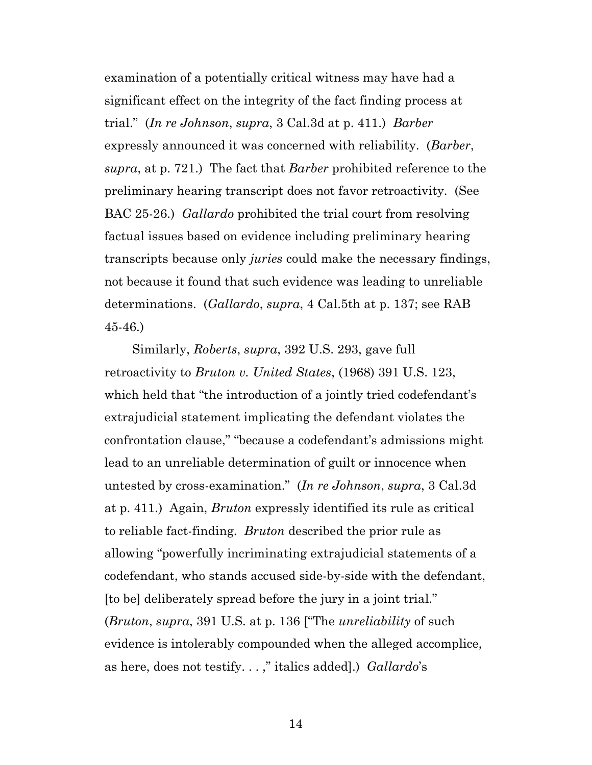examination of a potentially critical witness may have had a significant effect on the integrity of the fact finding process at trial." (*In re Johnson*, *supra*, 3 Cal.3d at p. 411.) *Barber* expressly announced it was concerned with reliability. (*Barber*, *supra*, at p. 721.) The fact that *Barber* prohibited reference to the preliminary hearing transcript does not favor retroactivity. (See BAC 25-26.) *Gallardo* prohibited the trial court from resolving factual issues based on evidence including preliminary hearing transcripts because only *juries* could make the necessary findings, not because it found that such evidence was leading to unreliable determinations. (*Gallardo*, *supra*, 4 Cal.5th at p. 137; see RAB 45-46.)

Similarly, *Roberts*, *supra*, 392 U.S. 293, gave full retroactivity to *Bruton v. United States*, (1968) 391 U.S. 123, which held that "the introduction of a jointly tried codefendant's extrajudicial statement implicating the defendant violates the confrontation clause," "because a codefendant's admissions might lead to an unreliable determination of guilt or innocence when untested by cross-examination." (*In re Johnson*, *supra*, 3 Cal.3d at p. 411.) Again, *Bruton* expressly identified its rule as critical to reliable fact-finding. *Bruton* described the prior rule as allowing "powerfully incriminating extrajudicial statements of a codefendant, who stands accused side-by-side with the defendant, [to be] deliberately spread before the jury in a joint trial." (*Bruton*, *supra*, 391 U.S. at p. 136 ["The *unreliability* of such evidence is intolerably compounded when the alleged accomplice, as here, does not testify. . . ," italics added].) *Gallardo*'s

14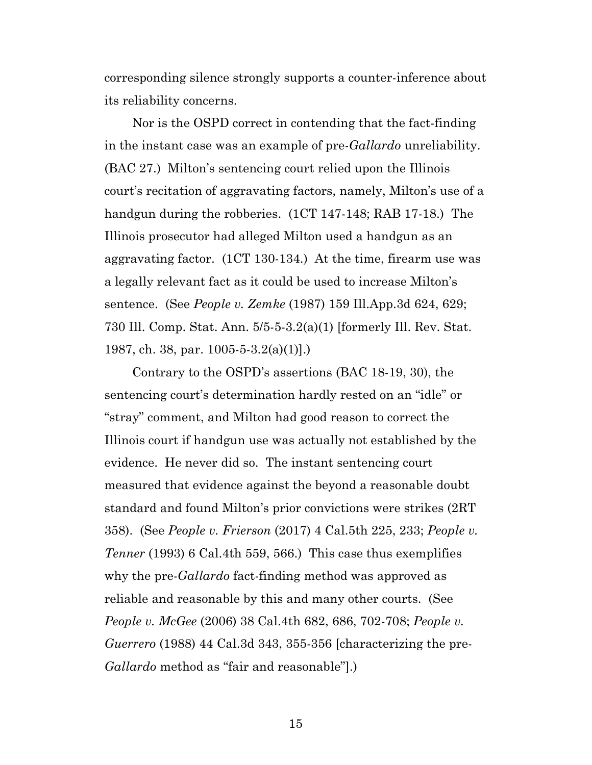corresponding silence strongly supports a counter-inference about its reliability concerns.

Nor is the OSPD correct in contending that the fact-finding in the instant case was an example of pre-*Gallardo* unreliability. (BAC 27.) Milton's sentencing court relied upon the Illinois court's recitation of aggravating factors, namely, Milton's use of a handgun during the robberies. (1CT 147-148; RAB 17-18.) The Illinois prosecutor had alleged Milton used a handgun as an aggravating factor. (1CT 130-134.) At the time, firearm use was a legally relevant fact as it could be used to increase Milton's sentence. (See *People v. Zemke* (1987) 159 Ill.App.3d 624, 629; 730 Ill. Comp. Stat. Ann. 5/5-5-3.2(a)(1) [formerly Ill. Rev. Stat. 1987, ch. 38, par. 1005-5-3.2(a)(1)].)

Contrary to the OSPD's assertions (BAC 18-19, 30), the sentencing court's determination hardly rested on an "idle" or "stray" comment, and Milton had good reason to correct the Illinois court if handgun use was actually not established by the evidence. He never did so. The instant sentencing court measured that evidence against the beyond a reasonable doubt standard and found Milton's prior convictions were strikes (2RT 358). (See *People v. Frierson* (2017) 4 Cal.5th 225, 233; *People v. Tenner* (1993) 6 Cal.4th 559, 566.) This case thus exemplifies why the pre-*Gallardo* fact-finding method was approved as reliable and reasonable by this and many other courts. (See *People v. McGee* (2006) 38 Cal.4th 682, 686, 702-708; *People v. Guerrero* (1988) 44 Cal.3d 343, 355-356 [characterizing the pre-*Gallardo* method as "fair and reasonable"].)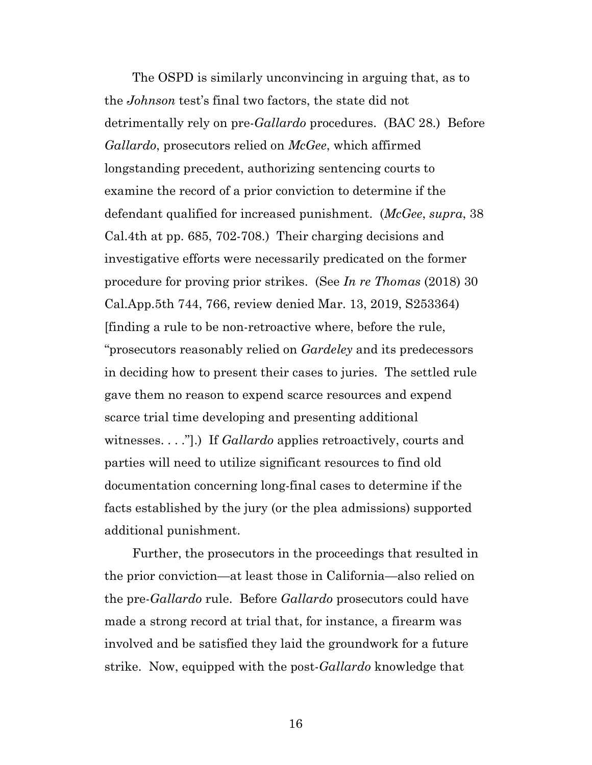The OSPD is similarly unconvincing in arguing that, as to the *Johnson* test's final two factors, the state did not detrimentally rely on pre-*Gallardo* procedures. (BAC 28.) Before *Gallardo*, prosecutors relied on *McGee*, which affirmed longstanding precedent, authorizing sentencing courts to examine the record of a prior conviction to determine if the defendant qualified for increased punishment. (*McGee*, *supra*, 38 Cal.4th at pp. 685, 702-708.) Their charging decisions and investigative efforts were necessarily predicated on the former procedure for proving prior strikes. (See *In re Thomas* (2018) 30 Cal.App.5th 744, 766, review denied Mar. 13, 2019, S253364) [finding a rule to be non-retroactive where, before the rule, "prosecutors reasonably relied on *Gardeley* and its predecessors in deciding how to present their cases to juries. The settled rule gave them no reason to expend scarce resources and expend scarce trial time developing and presenting additional witnesses. . . ."].) If *Gallardo* applies retroactively, courts and parties will need to utilize significant resources to find old documentation concerning long-final cases to determine if the facts established by the jury (or the plea admissions) supported additional punishment.

Further, the prosecutors in the proceedings that resulted in the prior conviction—at least those in California—also relied on the pre-*Gallardo* rule. Before *Gallardo* prosecutors could have made a strong record at trial that, for instance, a firearm was involved and be satisfied they laid the groundwork for a future strike. Now, equipped with the post-*Gallardo* knowledge that

16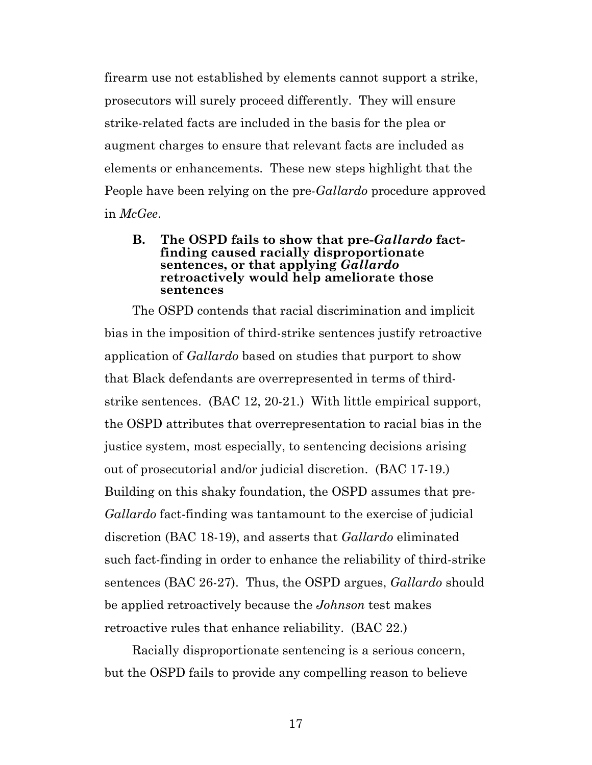firearm use not established by elements cannot support a strike, prosecutors will surely proceed differently. They will ensure strike-related facts are included in the basis for the plea or augment charges to ensure that relevant facts are included as elements or enhancements. These new steps highlight that the People have been relying on the pre-*Gallardo* procedure approved in *McGee*.

#### **B. The OSPD fails to show that pre-***Gallardo* **factfinding caused racially disproportionate sentences, or that applying** *Gallardo* **retroactively would help ameliorate those sentences**

The OSPD contends that racial discrimination and implicit bias in the imposition of third-strike sentences justify retroactive application of *Gallardo* based on studies that purport to show that Black defendants are overrepresented in terms of thirdstrike sentences. (BAC 12, 20-21.) With little empirical support, the OSPD attributes that overrepresentation to racial bias in the justice system, most especially, to sentencing decisions arising out of prosecutorial and/or judicial discretion. (BAC 17-19.) Building on this shaky foundation, the OSPD assumes that pre*-Gallardo* fact-finding was tantamount to the exercise of judicial discretion (BAC 18-19), and asserts that *Gallardo* eliminated such fact-finding in order to enhance the reliability of third-strike sentences (BAC 26-27). Thus, the OSPD argues, *Gallardo* should be applied retroactively because the *Johnson* test makes retroactive rules that enhance reliability. (BAC 22.)

Racially disproportionate sentencing is a serious concern, but the OSPD fails to provide any compelling reason to believe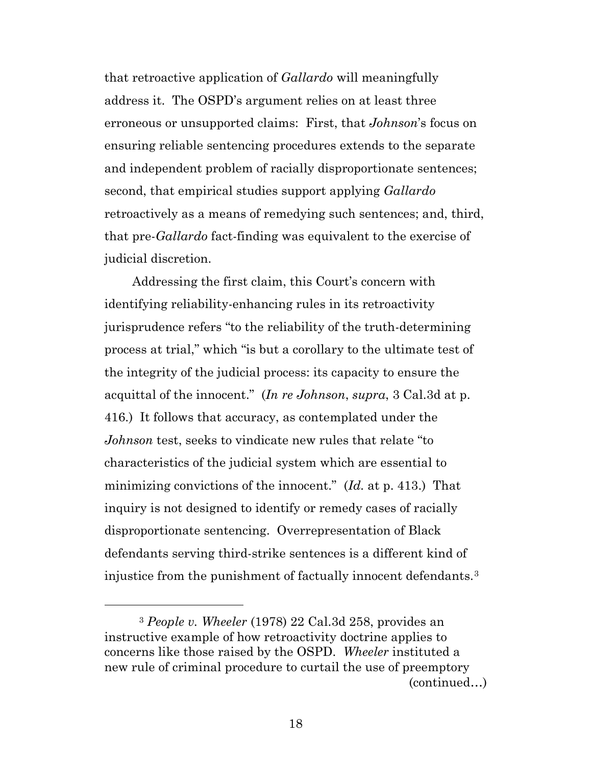that retroactive application of *Gallardo* will meaningfully address it. The OSPD's argument relies on at least three erroneous or unsupported claims: First, that *Johnson*'s focus on ensuring reliable sentencing procedures extends to the separate and independent problem of racially disproportionate sentences; second, that empirical studies support applying *Gallardo* retroactively as a means of remedying such sentences; and, third, that pre-*Gallardo* fact-finding was equivalent to the exercise of judicial discretion.

Addressing the first claim, this Court's concern with identifying reliability-enhancing rules in its retroactivity jurisprudence refers "to the reliability of the truth-determining process at trial," which "is but a corollary to the ultimate test of the integrity of the judicial process: its capacity to ensure the acquittal of the innocent." (*In re Johnson*, *supra*, 3 Cal.3d at p. 416.) It follows that accuracy, as contemplated under the *Johnson* test, seeks to vindicate new rules that relate "to characteristics of the judicial system which are essential to minimizing convictions of the innocent." (*Id.* at p. 413.) That inquiry is not designed to identify or remedy cases of racially disproportionate sentencing. Overrepresentation of Black defendants serving third-strike sentences is a different kind of injustice from the punishment of factually innocent defendants.[3](#page-17-0)

l

<span id="page-17-0"></span><sup>3</sup> *People v. Wheeler* (1978) 22 Cal.3d 258, provides an instructive example of how retroactivity doctrine applies to concerns like those raised by the OSPD. *Wheeler* instituted a new rule of criminal procedure to curtail the use of preemptory (continued…)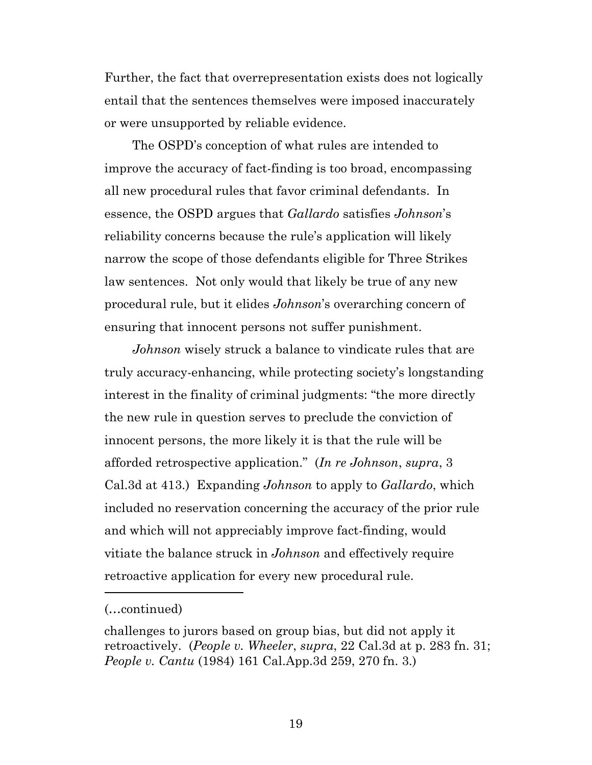Further, the fact that overrepresentation exists does not logically entail that the sentences themselves were imposed inaccurately or were unsupported by reliable evidence.

The OSPD's conception of what rules are intended to improve the accuracy of fact-finding is too broad, encompassing all new procedural rules that favor criminal defendants. In essence, the OSPD argues that *Gallardo* satisfies *Johnson*'s reliability concerns because the rule's application will likely narrow the scope of those defendants eligible for Three Strikes law sentences. Not only would that likely be true of any new procedural rule, but it elides *Johnson*'s overarching concern of ensuring that innocent persons not suffer punishment.

*Johnson* wisely struck a balance to vindicate rules that are truly accuracy-enhancing, while protecting society's longstanding interest in the finality of criminal judgments: "the more directly the new rule in question serves to preclude the conviction of innocent persons, the more likely it is that the rule will be afforded retrospective application." (*In re Johnson*, *supra*, 3 Cal.3d at 413.) Expanding *Johnson* to apply to *Gallardo*, which included no reservation concerning the accuracy of the prior rule and which will not appreciably improve fact-finding, would vitiate the balance struck in *Johnson* and effectively require retroactive application for every new procedural rule.

 $\overline{a}$ 

<sup>(…</sup>continued)

challenges to jurors based on group bias, but did not apply it retroactively. (*People v. Wheeler*, *supra*, 22 Cal.3d at p. 283 fn. 31; *People v. Cantu* (1984) 161 Cal.App.3d 259, 270 fn. 3.)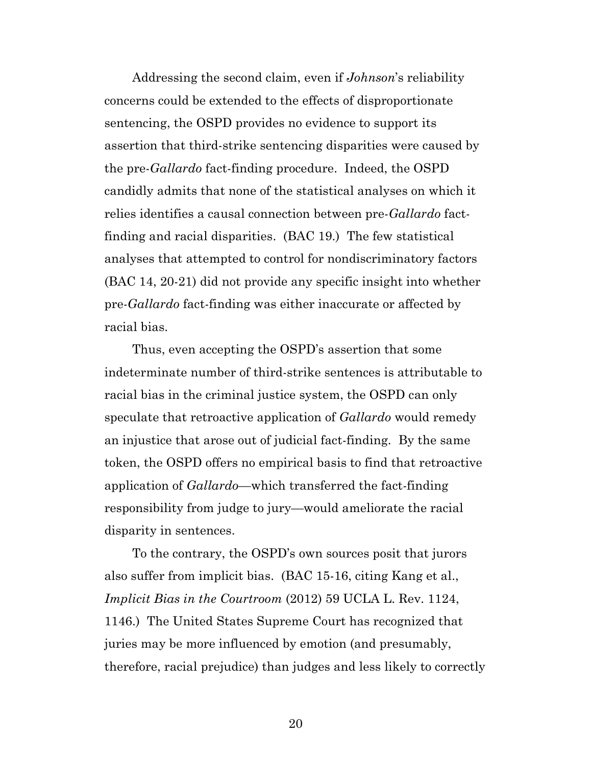Addressing the second claim, even if *Johnson*'s reliability concerns could be extended to the effects of disproportionate sentencing, the OSPD provides no evidence to support its assertion that third-strike sentencing disparities were caused by the pre-*Gallardo* fact-finding procedure. Indeed, the OSPD candidly admits that none of the statistical analyses on which it relies identifies a causal connection between pre-*Gallardo* factfinding and racial disparities. (BAC 19.) The few statistical analyses that attempted to control for nondiscriminatory factors (BAC 14, 20-21) did not provide any specific insight into whether pre-*Gallardo* fact-finding was either inaccurate or affected by racial bias.

Thus, even accepting the OSPD's assertion that some indeterminate number of third-strike sentences is attributable to racial bias in the criminal justice system, the OSPD can only speculate that retroactive application of *Gallardo* would remedy an injustice that arose out of judicial fact-finding. By the same token, the OSPD offers no empirical basis to find that retroactive application of *Gallardo*—which transferred the fact-finding responsibility from judge to jury—would ameliorate the racial disparity in sentences.

To the contrary, the OSPD's own sources posit that jurors also suffer from implicit bias. (BAC 15-16, citing Kang et al., *Implicit Bias in the Courtroom* (2012) 59 UCLA L. Rev. 1124, 1146.) The United States Supreme Court has recognized that juries may be more influenced by emotion (and presumably, therefore, racial prejudice) than judges and less likely to correctly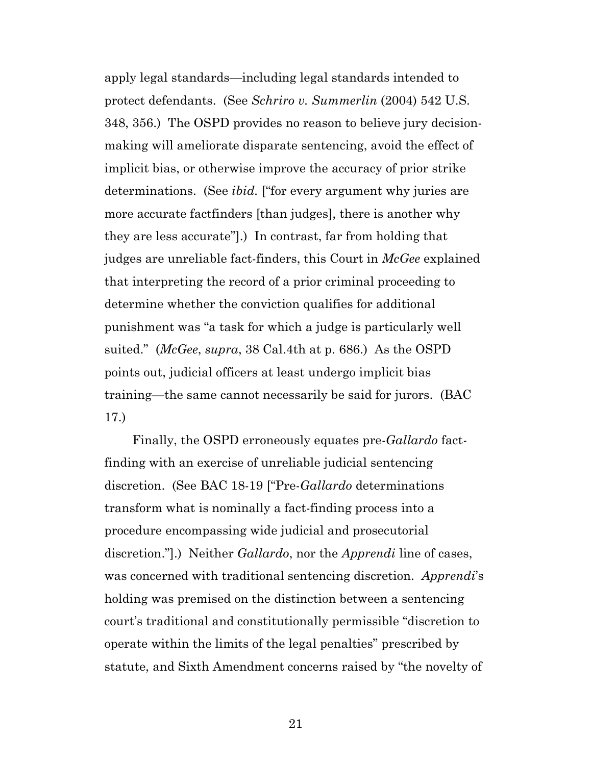apply legal standards—including legal standards intended to protect defendants. (See *Schriro v. Summerlin* (2004) 542 U.S. 348, 356.) The OSPD provides no reason to believe jury decisionmaking will ameliorate disparate sentencing, avoid the effect of implicit bias, or otherwise improve the accuracy of prior strike determinations. (See *ibid.* ["for every argument why juries are more accurate factfinders [than judges], there is another why they are less accurate"].) In contrast, far from holding that judges are unreliable fact-finders, this Court in *McGee* explained that interpreting the record of a prior criminal proceeding to determine whether the conviction qualifies for additional punishment was "a task for which a judge is particularly well suited." (*McGee*, *supra*, 38 Cal.4th at p. 686.) As the OSPD points out, judicial officers at least undergo implicit bias training—the same cannot necessarily be said for jurors. (BAC 17.)

Finally, the OSPD erroneously equates pre-*Gallardo* factfinding with an exercise of unreliable judicial sentencing discretion. (See BAC 18-19 ["Pre-*Gallardo* determinations transform what is nominally a fact-finding process into a procedure encompassing wide judicial and prosecutorial discretion."].) Neither *Gallardo*, nor the *Apprendi* line of cases, was concerned with traditional sentencing discretion. *Apprendi*'s holding was premised on the distinction between a sentencing court's traditional and constitutionally permissible "discretion to operate within the limits of the legal penalties" prescribed by statute, and Sixth Amendment concerns raised by "the novelty of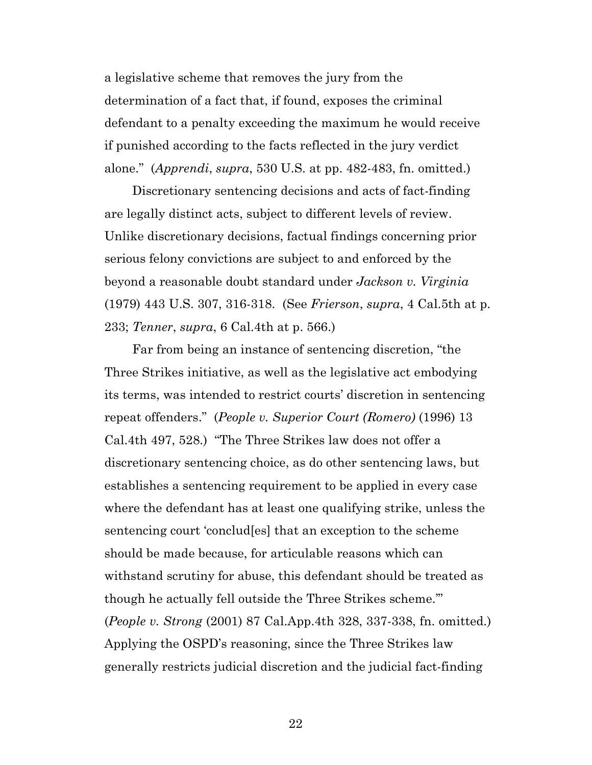a legislative scheme that removes the jury from the determination of a fact that, if found, exposes the criminal defendant to a penalty exceeding the maximum he would receive if punished according to the facts reflected in the jury verdict alone." (*Apprendi*, *supra*, 530 U.S. at pp. 482-483, fn. omitted.)

Discretionary sentencing decisions and acts of fact-finding are legally distinct acts, subject to different levels of review. Unlike discretionary decisions, factual findings concerning prior serious felony convictions are subject to and enforced by the beyond a reasonable doubt standard under *Jackson v. Virginia* (1979) 443 U.S. 307, 316-318. (See *Frierson*, *supra*, 4 Cal.5th at p. 233; *Tenner*, *supra*, 6 Cal.4th at p. 566.)

Far from being an instance of sentencing discretion, "the Three Strikes initiative, as well as the legislative act embodying its terms, was intended to restrict courts' discretion in sentencing repeat offenders." (*People v. Superior Court (Romero)* (1996) 13 Cal.4th 497, 528.) "The Three Strikes law does not offer a discretionary sentencing choice, as do other sentencing laws, but establishes a sentencing requirement to be applied in every case where the defendant has at least one qualifying strike, unless the sentencing court 'conclud[es] that an exception to the scheme should be made because, for articulable reasons which can withstand scrutiny for abuse, this defendant should be treated as though he actually fell outside the Three Strikes scheme.'" (*People v. Strong* (2001) 87 Cal.App.4th 328, 337-338, fn. omitted.) Applying the OSPD's reasoning, since the Three Strikes law generally restricts judicial discretion and the judicial fact-finding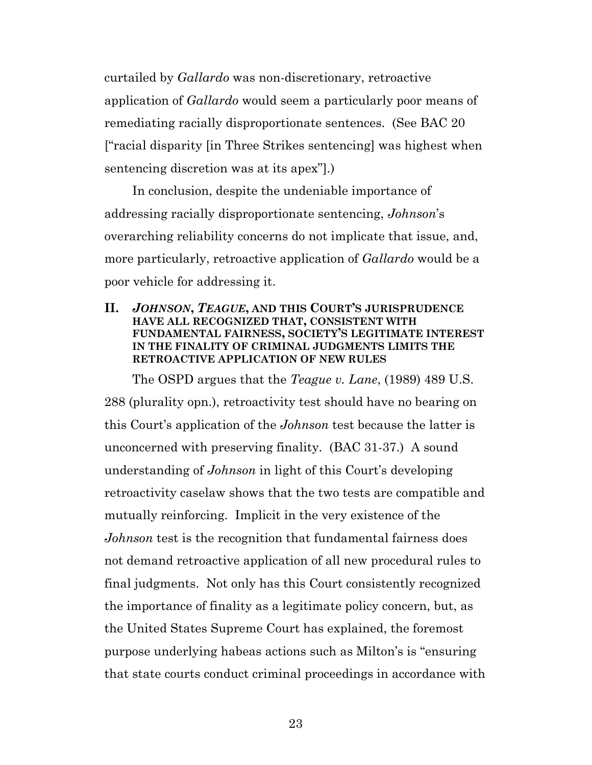curtailed by *Gallardo* was non-discretionary, retroactive application of *Gallardo* would seem a particularly poor means of remediating racially disproportionate sentences. (See BAC 20 ["racial disparity [in Three Strikes sentencing] was highest when sentencing discretion was at its apex"].)

In conclusion, despite the undeniable importance of addressing racially disproportionate sentencing, *Johnson*'s overarching reliability concerns do not implicate that issue, and, more particularly, retroactive application of *Gallardo* would be a poor vehicle for addressing it.

#### **II.** *JOHNSON***,** *TEAGUE***, AND THIS COURT'S JURISPRUDENCE HAVE ALL RECOGNIZED THAT, CONSISTENT WITH FUNDAMENTAL FAIRNESS, SOCIETY'S LEGITIMATE INTEREST IN THE FINALITY OF CRIMINAL JUDGMENTS LIMITS THE RETROACTIVE APPLICATION OF NEW RULES**

The OSPD argues that the *Teague v. Lane*, (1989) 489 U.S. 288 (plurality opn.), retroactivity test should have no bearing on this Court's application of the *Johnson* test because the latter is unconcerned with preserving finality. (BAC 31-37.) A sound understanding of *Johnson* in light of this Court's developing retroactivity caselaw shows that the two tests are compatible and mutually reinforcing. Implicit in the very existence of the *Johnson* test is the recognition that fundamental fairness does not demand retroactive application of all new procedural rules to final judgments. Not only has this Court consistently recognized the importance of finality as a legitimate policy concern, but, as the United States Supreme Court has explained, the foremost purpose underlying habeas actions such as Milton's is "ensuring that state courts conduct criminal proceedings in accordance with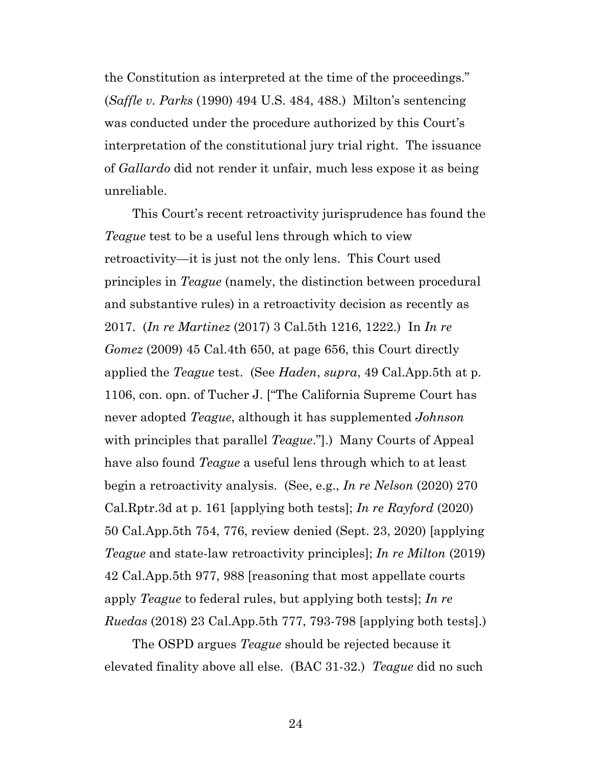the Constitution as interpreted at the time of the proceedings." (*Saffle v. Parks* (1990) 494 U.S. 484, 488.) Milton's sentencing was conducted under the procedure authorized by this Court's interpretation of the constitutional jury trial right. The issuance of *Gallardo* did not render it unfair, much less expose it as being unreliable.

This Court's recent retroactivity jurisprudence has found the *Teague* test to be a useful lens through which to view retroactivity—it is just not the only lens. This Court used principles in *Teague* (namely, the distinction between procedural and substantive rules) in a retroactivity decision as recently as 2017. (*In re Martinez* (2017) 3 Cal.5th 1216, 1222.) In *In re Gomez* (2009) 45 Cal.4th 650, at page 656, this Court directly applied the *Teague* test. (See *Haden*, *supra*, 49 Cal.App.5th at p. 1106, con. opn. of Tucher J. ["The California Supreme Court has never adopted *Teague*, although it has supplemented *Johnson* with principles that parallel *Teague*."].) Many Courts of Appeal have also found *Teague* a useful lens through which to at least begin a retroactivity analysis. (See, e.g., *In re Nelson* (2020) 270 Cal.Rptr.3d at p. 161 [applying both tests]; *In re Rayford* (2020) 50 Cal.App.5th 754, 776, review denied (Sept. 23, 2020) [applying *Teague* and state-law retroactivity principles]; *In re Milton* (2019) 42 Cal.App.5th 977, 988 [reasoning that most appellate courts apply *Teague* to federal rules, but applying both tests]; *In re Ruedas* (2018) 23 Cal.App.5th 777, 793-798 [applying both tests].)

The OSPD argues *Teague* should be rejected because it elevated finality above all else. (BAC 31-32.) *Teague* did no such

24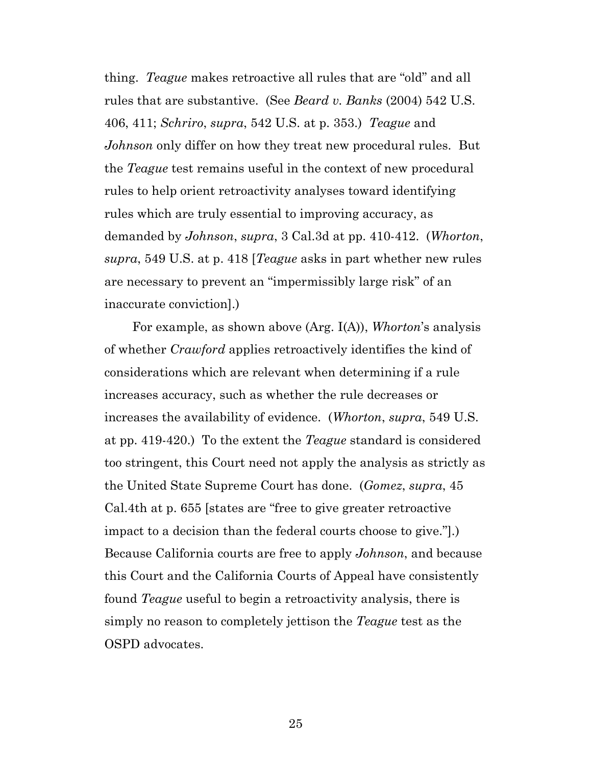thing. *Teague* makes retroactive all rules that are "old" and all rules that are substantive. (See *Beard v. Banks* (2004) 542 U.S. 406, 411; *Schriro*, *supra*, 542 U.S. at p. 353.) *Teague* and *Johnson* only differ on how they treat new procedural rules. But the *Teague* test remains useful in the context of new procedural rules to help orient retroactivity analyses toward identifying rules which are truly essential to improving accuracy, as demanded by *Johnson*, *supra*, 3 Cal.3d at pp. 410-412. (*Whorton*, *supra*, 549 U.S. at p. 418 [*Teague* asks in part whether new rules are necessary to prevent an "impermissibly large risk" of an inaccurate conviction].)

For example, as shown above (Arg. I(A)), *Whorton*'s analysis of whether *Crawford* applies retroactively identifies the kind of considerations which are relevant when determining if a rule increases accuracy, such as whether the rule decreases or increases the availability of evidence. (*Whorton*, *supra*, 549 U.S. at pp. 419-420.) To the extent the *Teague* standard is considered too stringent, this Court need not apply the analysis as strictly as the United State Supreme Court has done. (*Gomez*, *supra*, 45 Cal.4th at p. 655 [states are "free to give greater retroactive impact to a decision than the federal courts choose to give."].) Because California courts are free to apply *Johnson*, and because this Court and the California Courts of Appeal have consistently found *Teague* useful to begin a retroactivity analysis, there is simply no reason to completely jettison the *Teague* test as the OSPD advocates.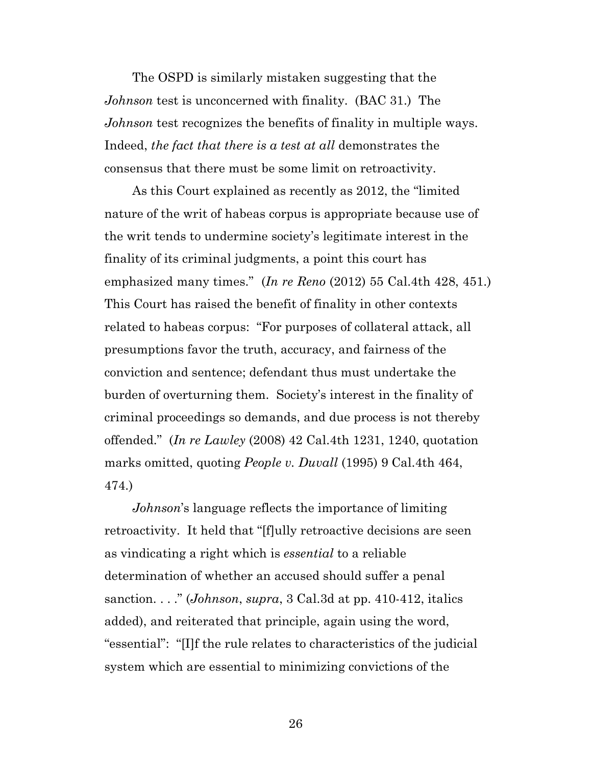The OSPD is similarly mistaken suggesting that the *Johnson* test is unconcerned with finality. (BAC 31.) The *Johnson* test recognizes the benefits of finality in multiple ways. Indeed, *the fact that there is a test at all* demonstrates the consensus that there must be some limit on retroactivity.

As this Court explained as recently as 2012, the "limited nature of the writ of habeas corpus is appropriate because use of the writ tends to undermine society's legitimate interest in the finality of its criminal judgments, a point this court has emphasized many times." (*In re Reno* (2012) 55 Cal.4th 428, 451.) This Court has raised the benefit of finality in other contexts related to habeas corpus: "For purposes of collateral attack, all presumptions favor the truth, accuracy, and fairness of the conviction and sentence; defendant thus must undertake the burden of overturning them. Society's interest in the finality of criminal proceedings so demands, and due process is not thereby offended." (*In re Lawley* (2008) 42 Cal.4th 1231, 1240, quotation marks omitted, quoting *People v. Duvall* (1995) 9 Cal.4th 464, 474.)

*Johnson*'s language reflects the importance of limiting retroactivity. It held that "[f]ully retroactive decisions are seen as vindicating a right which is *essential* to a reliable determination of whether an accused should suffer a penal sanction. . . ." (*Johnson*, *supra*, 3 Cal.3d at pp. 410-412, italics added), and reiterated that principle, again using the word, "essential": "[I]f the rule relates to characteristics of the judicial system which are essential to minimizing convictions of the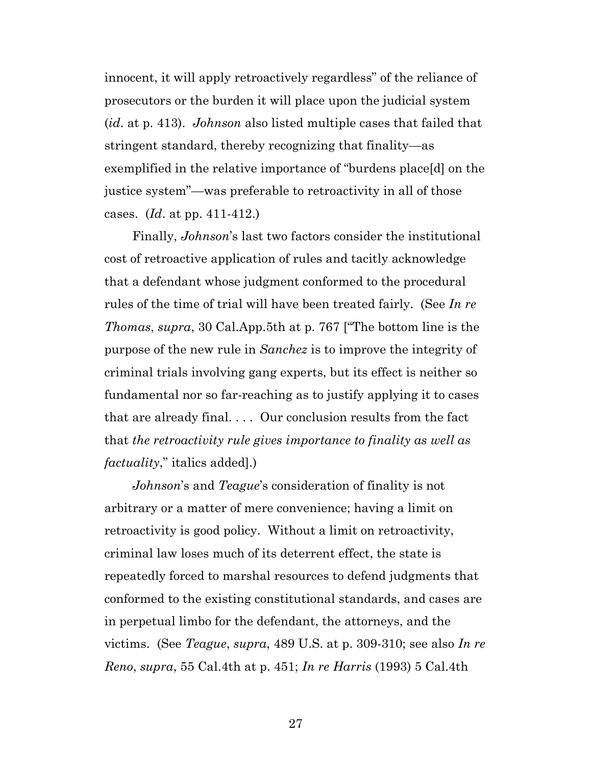innocent, it will apply retroactively regardless" of the reliance of prosecutors or the burden it will place upon the judicial system (*id*. at p. 413). *Johnson* also listed multiple cases that failed that stringent standard, thereby recognizing that finality—as exemplified in the relative importance of "burdens place[d] on the justice system"—was preferable to retroactivity in all of those cases. (*Id*. at pp. 411-412.)

Finally, *Johnson*'s last two factors consider the institutional cost of retroactive application of rules and tacitly acknowledge that a defendant whose judgment conformed to the procedural rules of the time of trial will have been treated fairly. (See *In re Thomas*, *supra*, 30 Cal.App.5th at p. 767 ["The bottom line is the purpose of the new rule in *Sanchez* is to improve the integrity of criminal trials involving gang experts, but its effect is neither so fundamental nor so far-reaching as to justify applying it to cases that are already final. . . . Our conclusion results from the fact that *the retroactivity rule gives importance to finality as well as factuality*," italics added].)

*Johnson*'s and *Teague*'s consideration of finality is not arbitrary or a matter of mere convenience; having a limit on retroactivity is good policy. Without a limit on retroactivity, criminal law loses much of its deterrent effect, the state is repeatedly forced to marshal resources to defend judgments that conformed to the existing constitutional standards, and cases are in perpetual limbo for the defendant, the attorneys, and the victims. (See *Teague*, *supra*, 489 U.S. at p. 309-310; see also *In re Reno*, *supra*, 55 Cal.4th at p. 451; *In re Harris* (1993) 5 Cal.4th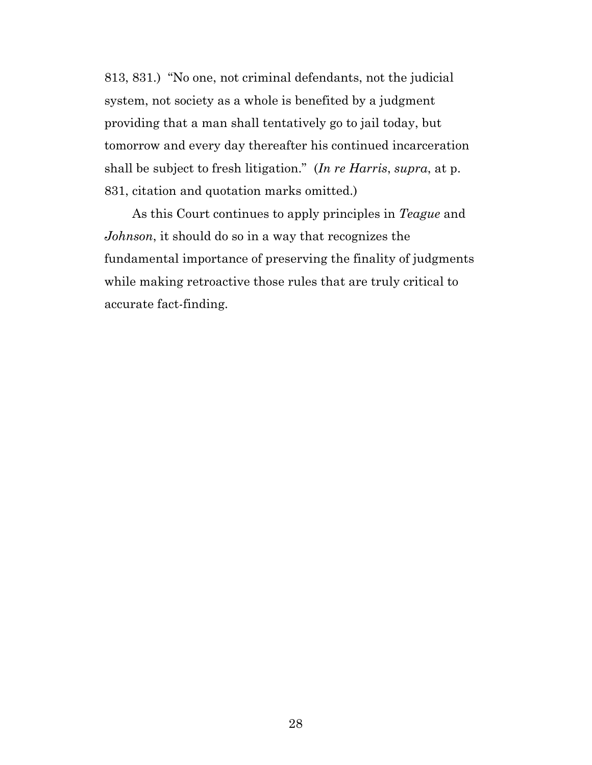813, 831.) "No one, not criminal defendants, not the judicial system, not society as a whole is benefited by a judgment providing that a man shall tentatively go to jail today, but tomorrow and every day thereafter his continued incarceration shall be subject to fresh litigation." (*In re Harris*, *supra*, at p. 831, citation and quotation marks omitted.)

As this Court continues to apply principles in *Teague* and *Johnson*, it should do so in a way that recognizes the fundamental importance of preserving the finality of judgments while making retroactive those rules that are truly critical to accurate fact-finding.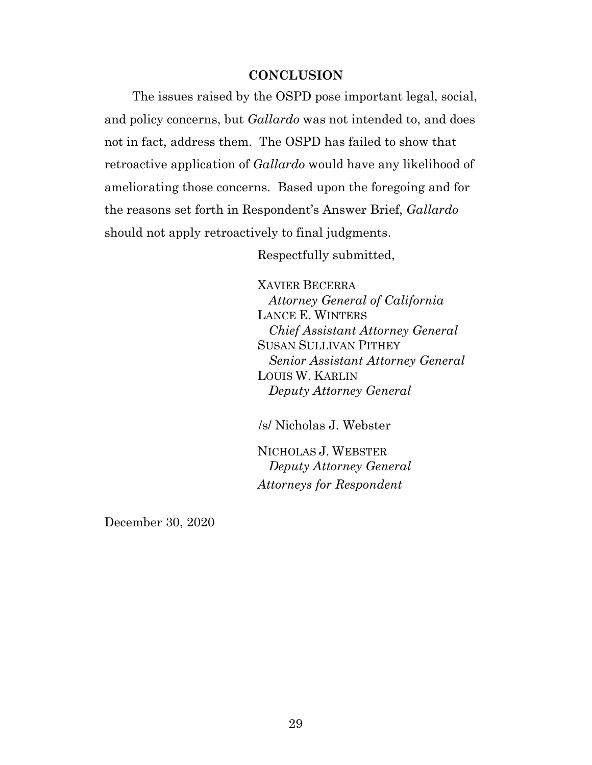#### **CONCLUSION**

The issues raised by the OSPD pose important legal, social, and policy concerns, but *Gallardo* was not intended to, and does not in fact, address them. The OSPD has failed to show that retroactive application of *Gallardo* would have any likelihood of ameliorating those concerns. Based upon the foregoing and for the reasons set forth in Respondent's Answer Brief, *Gallardo* should not apply retroactively to final judgments.

Respectfully submitted,

XAVIER BECERRA *Attorney General of California* LANCE E. WINTERS *Chief Assistant Attorney General*  SUSAN SULLIVAN PITHEY *Senior Assistant Attorney General*  LOUIS W. KARLIN *Deputy Attorney General* 

/s/ Nicholas J. Webster

NICHOLAS J. WEBSTER *Deputy Attorney General Attorneys for Respondent* 

December 30, 2020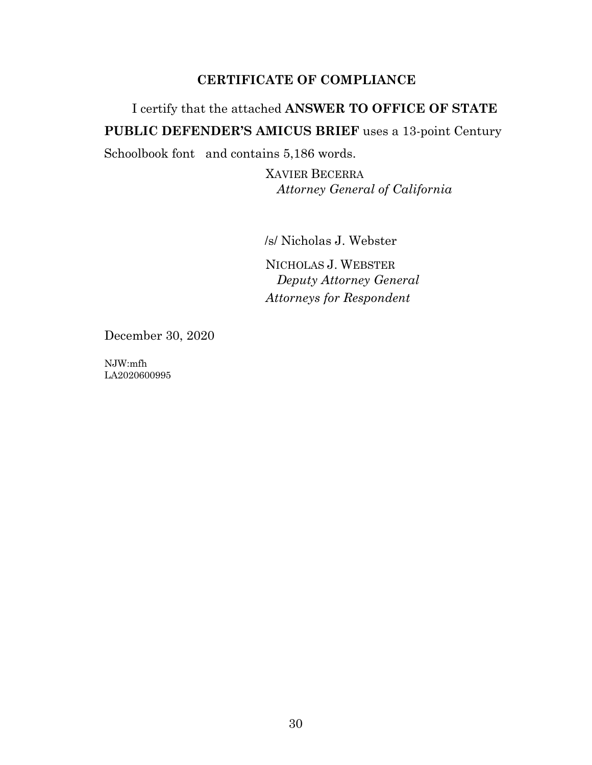# **CERTIFICATE OF COMPLIANCE**

# I certify that the attached **ANSWER TO OFFICE OF STATE PUBLIC DEFENDER'S AMICUS BRIEF** uses a 13-point Century

Schoolbook font and contains 5,186 words.

XAVIER BECERRA *Attorney General of California*

/s/ Nicholas J. Webster

NICHOLAS J. WEBSTER *Deputy Attorney General Attorneys for Respondent* 

December 30, 2020

NJW:mfh LA2020600995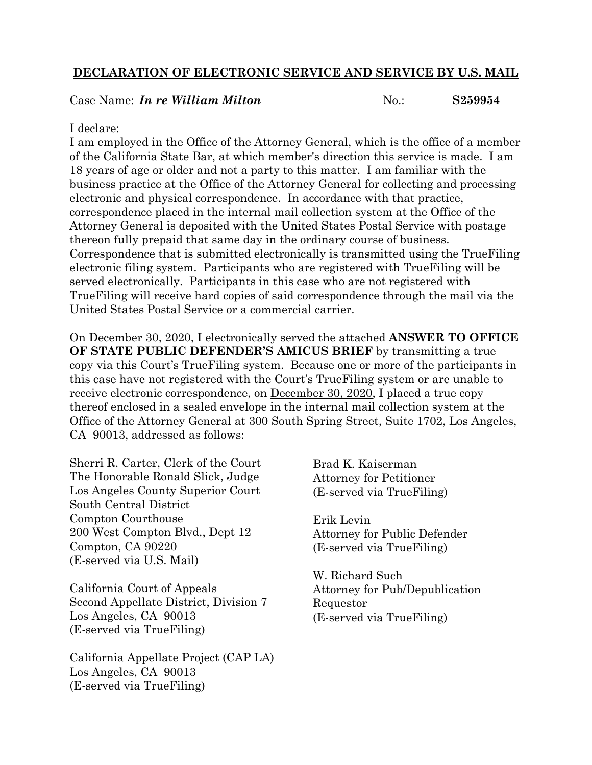## **DECLARATION OF ELECTRONIC SERVICE AND SERVICE BY U.S. MAIL**

#### Case Name: *In re William Milton* **No.:** S259954

#### I declare:

I am employed in the Office of the Attorney General, which is the office of a member of the California State Bar, at which member's direction this service is made. I am 18 years of age or older and not a party to this matter. I am familiar with the business practice at the Office of the Attorney General for collecting and processing electronic and physical correspondence. In accordance with that practice, correspondence placed in the internal mail collection system at the Office of the Attorney General is deposited with the United States Postal Service with postage thereon fully prepaid that same day in the ordinary course of business. Correspondence that is submitted electronically is transmitted using the TrueFiling electronic filing system. Participants who are registered with TrueFiling will be served electronically. Participants in this case who are not registered with TrueFiling will receive hard copies of said correspondence through the mail via the United States Postal Service or a commercial carrier.

On December 30, 2020, I electronically served the attached **ANSWER TO OFFICE OF STATE PUBLIC DEFENDER'S AMICUS BRIEF** by transmitting a true copy via this Court's TrueFiling system. Because one or more of the participants in this case have not registered with the Court's TrueFiling system or are unable to receive electronic correspondence, on December 30, 2020, I placed a true copy thereof enclosed in a sealed envelope in the internal mail collection system at the Office of the Attorney General at 300 South Spring Street, Suite 1702, Los Angeles, CA 90013, addressed as follows:

Sherri R. Carter, Clerk of the Court The Honorable Ronald Slick, Judge Los Angeles County Superior Court South Central District Compton Courthouse 200 West Compton Blvd., Dept 12 Compton, CA 90220 (E-served via U.S. Mail)

California Court of Appeals Second Appellate District, Division 7 Los Angeles, CA 90013 (E-served via TrueFiling)

California Appellate Project (CAP LA) Los Angeles, CA 90013 (E-served via TrueFiling)

Brad K. Kaiserman Attorney for Petitioner (E-served via TrueFiling)

Erik Levin Attorney for Public Defender (E-served via TrueFiling)

W. Richard Such Attorney for Pub/Depublication Requestor (E-served via TrueFiling)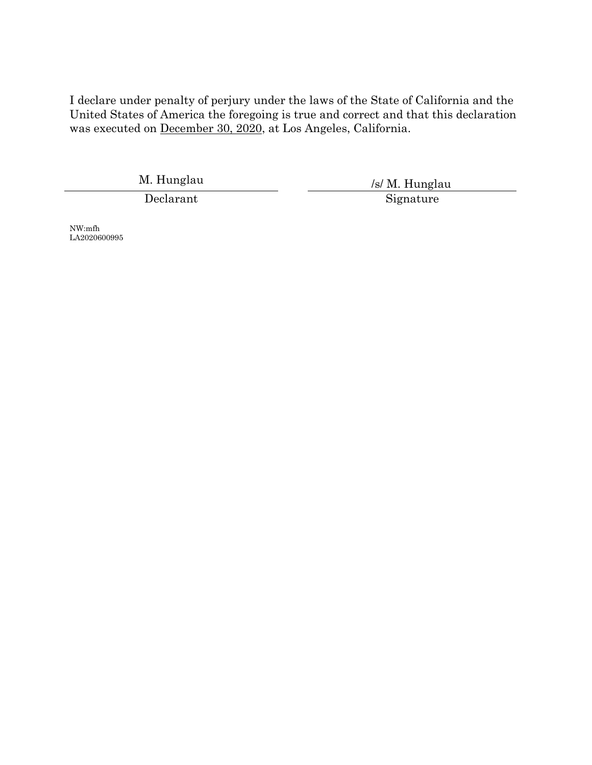I declare under penalty of perjury under the laws of the State of California and the United States of America the foregoing is true and correct and that this declaration was executed on December 30, 2020, at Los Angeles, California.

M. Hunglau /s/ M. Hunglau Declarant Signature

NW:mfh LA2020600995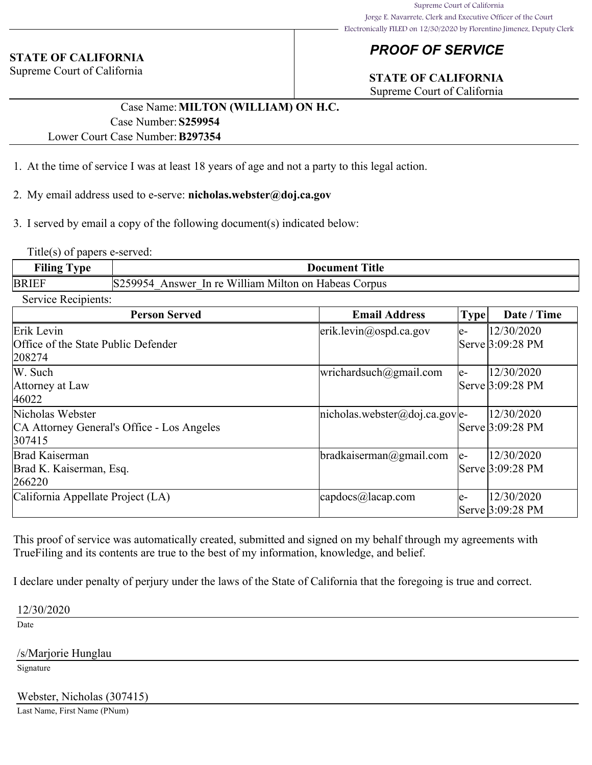#### **STATE OF CALIFORNIA**

Supreme Court of California

# *PROOF OF SERVICE*

# **STATE OF CALIFORNIA**

Supreme Court of California

#### Case Name:**MILTON (WILLIAM) ON H.C.** Case Number:**S259954**

#### Lower Court Case Number:**B297354**

- 1. At the time of service I was at least 18 years of age and not a party to this legal action.
- 2. My email address used to e-serve: **nicholas.webster@doj.ca.gov**
- 3. I served by email a copy of the following document(s) indicated below:

Title(s) of papers e-served:

| <b>Filing 1</b><br>l vpe | <b>Document Title</b>                                    |
|--------------------------|----------------------------------------------------------|
| BRIEF                    | Answer In re William Milton on Habeas Corpus<br>IS259954 |

Service Recipients:

| <b>Person Served</b>                       | <b>Email Address</b>           | <b>Type</b> | Date / Time                        |
|--------------------------------------------|--------------------------------|-------------|------------------------------------|
| Erik Levin                                 | erik. levin@ospd.ca.gov        | $e-$        | 12/30/2020                         |
| Office of the State Public Defender        |                                |             | Serve 3:09:28 PM                   |
| 208274                                     |                                |             |                                    |
| W. Such                                    | wrichardsuch@gmail.com         | $e-$        | 12/30/2020                         |
| Attorney at Law                            |                                |             | $\text{Serve } 3:09:28 \text{ PM}$ |
| 46022                                      |                                |             |                                    |
| Nicholas Webster                           | $nicholas. webster@doj.ca.gov$ |             | 12/30/2020                         |
| CA Attorney General's Office - Los Angeles |                                |             | $\text{Serve } 3:09:28 \text{ PM}$ |
| 307415                                     |                                |             |                                    |
| Brad Kaiserman                             | bradkaiserman@gmail.com        | $e-$        | 12/30/2020                         |
| Brad K. Kaiserman, Esq.                    |                                |             | Serve 3:09:28 PM                   |
| 266220                                     |                                |             |                                    |
| California Appellate Project (LA)          | $capdoes @$ lacap.com          | $e-$        | 12/30/2020                         |
|                                            |                                |             | Serve 3:09:28 PM                   |

This proof of service was automatically created, submitted and signed on my behalf through my agreements with TrueFiling and its contents are true to the best of my information, knowledge, and belief.

I declare under penalty of perjury under the laws of the State of California that the foregoing is true and correct.

12/30/2020

Date

/s/Marjorie Hunglau

Signature

Webster, Nicholas (307415)

Last Name, First Name (PNum)